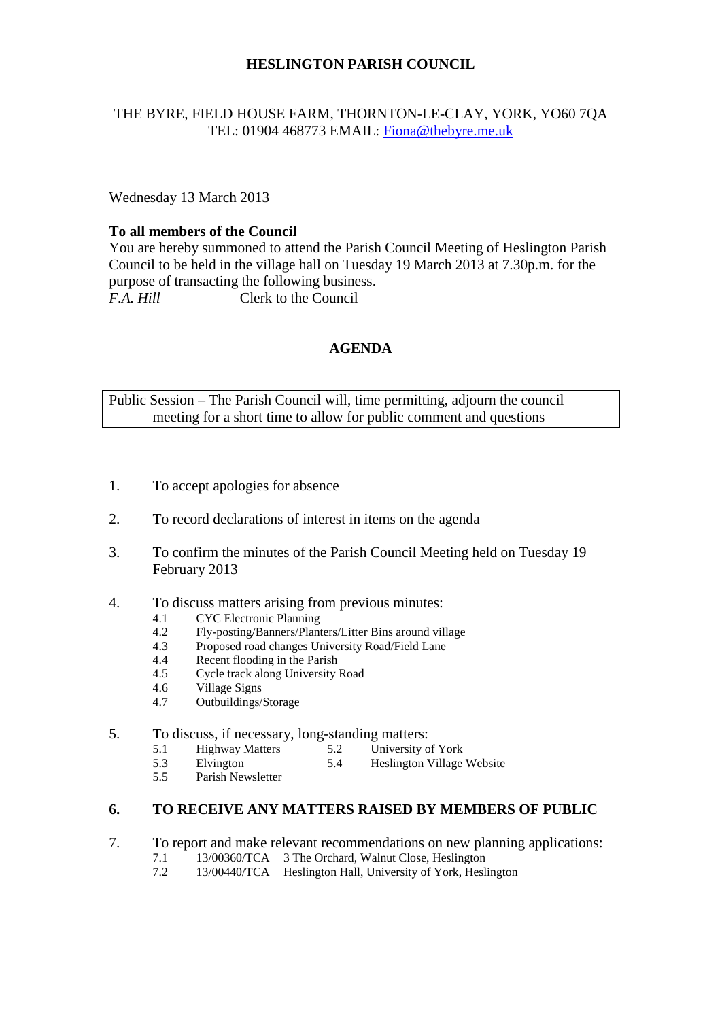#### **HESLINGTON PARISH COUNCIL**

#### THE BYRE, FIELD HOUSE FARM, THORNTON-LE-CLAY, YORK, YO60 7QA TEL: 01904 468773 EMAIL: [Fiona@thebyre.me.uk](mailto:Fiona@thebyre.me.uk)

Wednesday 13 March 2013

#### **To all members of the Council**

You are hereby summoned to attend the Parish Council Meeting of Heslington Parish Council to be held in the village hall on Tuesday 19 March 2013 at 7.30p.m. for the purpose of transacting the following business. *F.A. Hill* Clerk to the Council

#### **AGENDA**

Public Session – The Parish Council will, time permitting, adjourn the council meeting for a short time to allow for public comment and questions

- 1. To accept apologies for absence
- 2. To record declarations of interest in items on the agenda
- 3. To confirm the minutes of the Parish Council Meeting held on Tuesday 19 February 2013
- 4. To discuss matters arising from previous minutes:
	- 4.1 CYC Electronic Planning
	- 4.2 Fly-posting/Banners/Planters/Litter Bins around village
	- 4.3 Proposed road changes University Road/Field Lane
	- 4.4 Recent flooding in the Parish
	- 4.5 Cycle track along University Road
	- 4.6 Village Signs
	- 4.7 Outbuildings/Storage

# 5. To discuss, if necessary, long-standing matters:<br>5.1 Highway Matters 5.2 University of York

- 5.1 Highway Matters 5.2<br>5.3 Elvington 5.4
- 5.3 Elvington 5.4 Heslington Village Website<br>5.5 Parish Newsletter
- Parish Newsletter

## **6. TO RECEIVE ANY MATTERS RAISED BY MEMBERS OF PUBLIC**

- 7. To report and make relevant recommendations on new planning applications:
	- 7.1 13/00360/TCA 3 The Orchard, Walnut Close, Heslington<br>7.2 13/00440/TCA Heslington Hall University of York Hesli
	- 7.2 13/00440/TCA Heslington Hall, University of York, Heslington